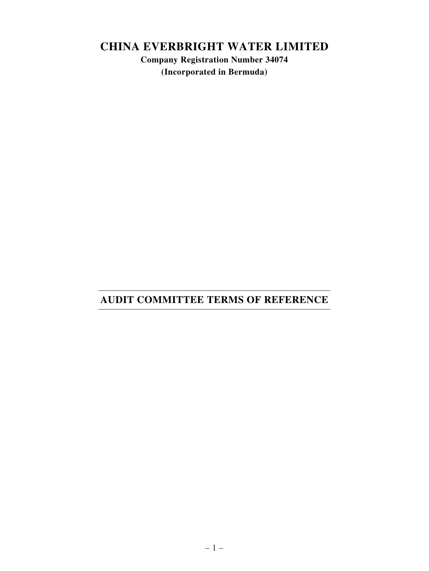# **CHINA EVERBRIGHT WATER LIMITED**

**Company Registration Number 34074 (Incorporated in Bermuda)**

# **AUDIT COMMITTEE TERMS OF REFERENCE**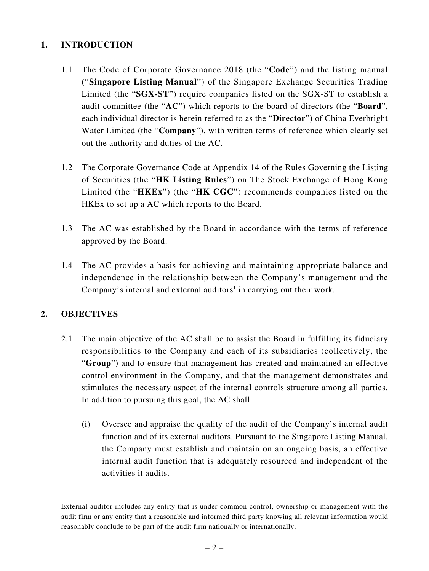# **1. INTRODUCTION**

- 1.1 The Code of Corporate Governance 2018 (the "**Code**") and the listing manual ("**Singapore Listing Manual**") of the Singapore Exchange Securities Trading Limited (the "**SGX-ST**") require companies listed on the SGX-ST to establish a audit committee (the "**AC**") which reports to the board of directors (the "**Board**", each individual director is herein referred to as the "**Director**") of China Everbright Water Limited (the "**Company**"), with written terms of reference which clearly set out the authority and duties of the AC.
- 1.2 The Corporate Governance Code at Appendix 14 of the Rules Governing the Listing of Securities (the "**HK Listing Rules**") on The Stock Exchange of Hong Kong Limited (the "**HKEx**") (the "**HK CGC**") recommends companies listed on the HKEx to set up a AC which reports to the Board.
- 1.3 The AC was established by the Board in accordance with the terms of reference approved by the Board.
- 1.4 The AC provides a basis for achieving and maintaining appropriate balance and independence in the relationship between the Company's management and the Company's internal and external auditors<sup>1</sup> in carrying out their work.

# **2. OBJECTIVES**

- 2.1 The main objective of the AC shall be to assist the Board in fulfilling its fiduciary responsibilities to the Company and each of its subsidiaries (collectively, the "**Group**") and to ensure that management has created and maintained an effective control environment in the Company, and that the management demonstrates and stimulates the necessary aspect of the internal controls structure among all parties. In addition to pursuing this goal, the AC shall:
	- (i) Oversee and appraise the quality of the audit of the Company's internal audit function and of its external auditors. Pursuant to the Singapore Listing Manual, the Company must establish and maintain on an ongoing basis, an effective internal audit function that is adequately resourced and independent of the activities it audits.

<sup>&</sup>lt;sup>1</sup> External auditor includes any entity that is under common control, ownership or management with the audit firm or any entity that a reasonable and informed third party knowing all relevant information would reasonably conclude to be part of the audit firm nationally or internationally.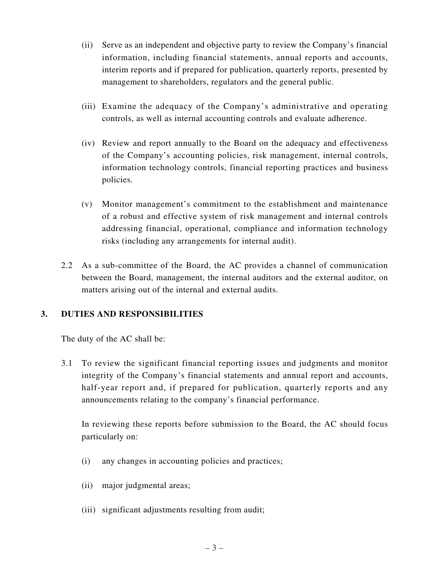- (ii) Serve as an independent and objective party to review the Company's financial information, including financial statements, annual reports and accounts, interim reports and if prepared for publication, quarterly reports, presented by management to shareholders, regulators and the general public.
- (iii) Examine the adequacy of the Company's administrative and operating controls, as well as internal accounting controls and evaluate adherence.
- (iv) Review and report annually to the Board on the adequacy and effectiveness of the Company's accounting policies, risk management, internal controls, information technology controls, financial reporting practices and business policies.
- (v) Monitor management's commitment to the establishment and maintenance of a robust and effective system of risk management and internal controls addressing financial, operational, compliance and information technology risks (including any arrangements for internal audit).
- 2.2 As a sub-committee of the Board, the AC provides a channel of communication between the Board, management, the internal auditors and the external auditor, on matters arising out of the internal and external audits.

# **3. DUTIES AND RESPONSIBILITIES**

The duty of the AC shall be:

3.1 To review the significant financial reporting issues and judgments and monitor integrity of the Company's financial statements and annual report and accounts, half-year report and, if prepared for publication, quarterly reports and any announcements relating to the company's financial performance.

In reviewing these reports before submission to the Board, the AC should focus particularly on:

- (i) any changes in accounting policies and practices;
- (ii) major judgmental areas;
- (iii) significant adjustments resulting from audit;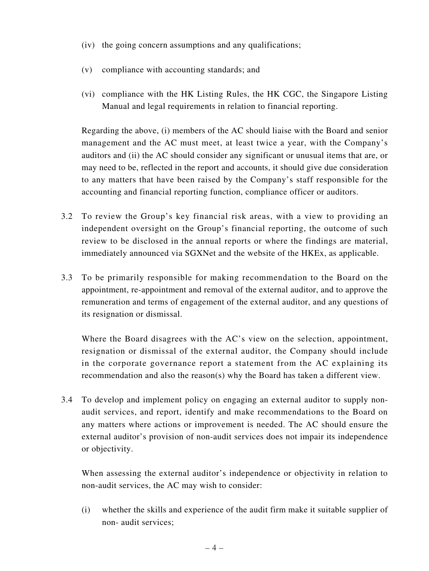- (iv) the going concern assumptions and any qualifications;
- (v) compliance with accounting standards; and
- (vi) compliance with the HK Listing Rules, the HK CGC, the Singapore Listing Manual and legal requirements in relation to financial reporting.

Regarding the above, (i) members of the AC should liaise with the Board and senior management and the AC must meet, at least twice a year, with the Company's auditors and (ii) the AC should consider any significant or unusual items that are, or may need to be, reflected in the report and accounts, it should give due consideration to any matters that have been raised by the Company's staff responsible for the accounting and financial reporting function, compliance officer or auditors.

- 3.2 To review the Group's key financial risk areas, with a view to providing an independent oversight on the Group's financial reporting, the outcome of such review to be disclosed in the annual reports or where the findings are material, immediately announced via SGXNet and the website of the HKEx, as applicable.
- 3.3 To be primarily responsible for making recommendation to the Board on the appointment, re-appointment and removal of the external auditor, and to approve the remuneration and terms of engagement of the external auditor, and any questions of its resignation or dismissal.

Where the Board disagrees with the AC's view on the selection, appointment, resignation or dismissal of the external auditor, the Company should include in the corporate governance report a statement from the AC explaining its recommendation and also the reason(s) why the Board has taken a different view.

3.4 To develop and implement policy on engaging an external auditor to supply nonaudit services, and report, identify and make recommendations to the Board on any matters where actions or improvement is needed. The AC should ensure the external auditor's provision of non-audit services does not impair its independence or objectivity.

When assessing the external auditor's independence or objectivity in relation to non-audit services, the AC may wish to consider:

(i) whether the skills and experience of the audit firm make it suitable supplier of non- audit services;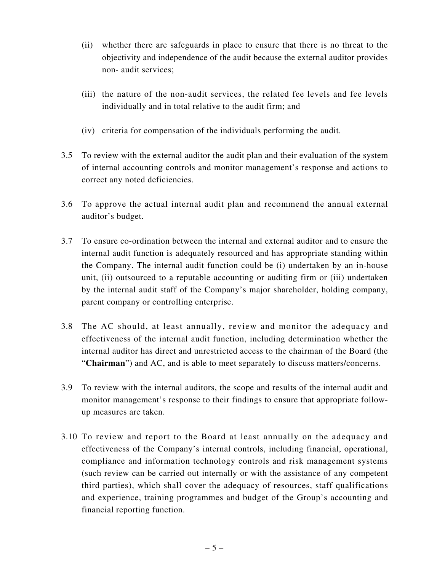- (ii) whether there are safeguards in place to ensure that there is no threat to the objectivity and independence of the audit because the external auditor provides non- audit services;
- (iii) the nature of the non-audit services, the related fee levels and fee levels individually and in total relative to the audit firm; and
- (iv) criteria for compensation of the individuals performing the audit.
- 3.5 To review with the external auditor the audit plan and their evaluation of the system of internal accounting controls and monitor management's response and actions to correct any noted deficiencies.
- 3.6 To approve the actual internal audit plan and recommend the annual external auditor's budget.
- 3.7 To ensure co-ordination between the internal and external auditor and to ensure the internal audit function is adequately resourced and has appropriate standing within the Company. The internal audit function could be (i) undertaken by an in-house unit, (ii) outsourced to a reputable accounting or auditing firm or (iii) undertaken by the internal audit staff of the Company's major shareholder, holding company, parent company or controlling enterprise.
- 3.8 The AC should, at least annually, review and monitor the adequacy and effectiveness of the internal audit function, including determination whether the internal auditor has direct and unrestricted access to the chairman of the Board (the "**Chairman**") and AC, and is able to meet separately to discuss matters/concerns.
- 3.9 To review with the internal auditors, the scope and results of the internal audit and monitor management's response to their findings to ensure that appropriate followup measures are taken.
- 3.10 To review and report to the Board at least annually on the adequacy and effectiveness of the Company's internal controls, including financial, operational, compliance and information technology controls and risk management systems (such review can be carried out internally or with the assistance of any competent third parties), which shall cover the adequacy of resources, staff qualifications and experience, training programmes and budget of the Group's accounting and financial reporting function.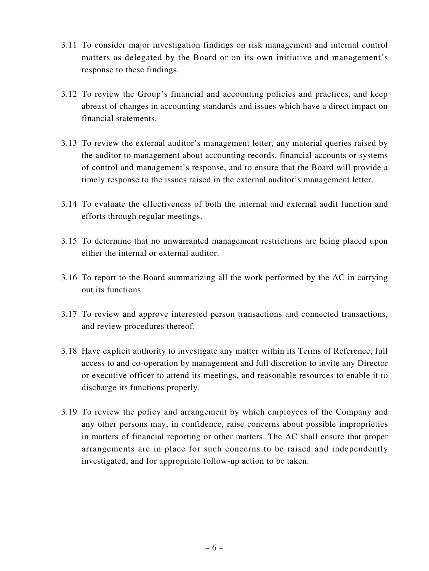- 3.11 To consider major investigation findings on risk management and internal control matters as delegated by the Board or on its own initiative and management's response to these findings.
- 3.12 To review the Group's financial and accounting policies and practices, and keep abreast of changes in accounting standards and issues which have a direct impact on financial statements.
- 3.13 To review the external auditor's management letter, any material queries raised by the auditor to management about accounting records, financial accounts or systems of control and management's response, and to ensure that the Board will provide a timely response to the issues raised in the external auditor's management letter.
- 3.14 To evaluate the effectiveness of both the internal and external audit function and efforts through regular meetings.
- 3.15 To determine that no unwarranted management restrictions are being placed upon either the internal or external auditor.
- 3.16 To report to the Board summarizing all the work performed by the AC in carrying out its functions.
- 3.17 To review and approve interested person transactions and connected transactions, and review procedures thereof.
- 3.18 Have explicit authority to investigate any matter within its Terms of Reference, full access to and co-operation by management and full discretion to invite any Director or executive officer to attend its meetings, and reasonable resources to enable it to discharge its functions properly.
- 3.19 To review the policy and arrangement by which employees of the Company and any other persons may, in confidence, raise concerns about possible improprieties in matters of financial reporting or other matters. The AC shall ensure that proper arrangements are in place for such concerns to be raised and independently investigated, and for appropriate follow-up action to be taken.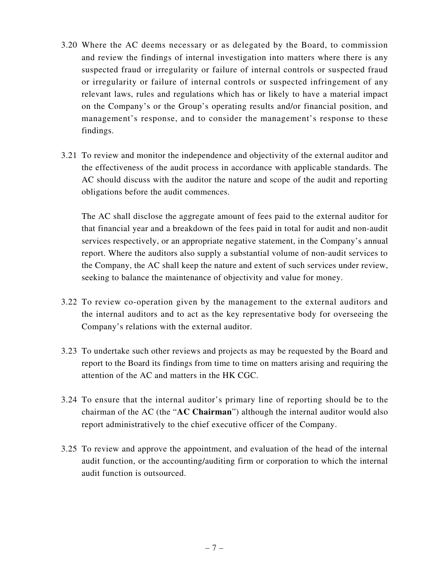- 3.20 Where the AC deems necessary or as delegated by the Board, to commission and review the findings of internal investigation into matters where there is any suspected fraud or irregularity or failure of internal controls or suspected fraud or irregularity or failure of internal controls or suspected infringement of any relevant laws, rules and regulations which has or likely to have a material impact on the Company's or the Group's operating results and/or financial position, and management's response, and to consider the management's response to these findings.
- 3.21 To review and monitor the independence and objectivity of the external auditor and the effectiveness of the audit process in accordance with applicable standards. The AC should discuss with the auditor the nature and scope of the audit and reporting obligations before the audit commences.

The AC shall disclose the aggregate amount of fees paid to the external auditor for that financial year and a breakdown of the fees paid in total for audit and non-audit services respectively, or an appropriate negative statement, in the Company's annual report. Where the auditors also supply a substantial volume of non-audit services to the Company, the AC shall keep the nature and extent of such services under review, seeking to balance the maintenance of objectivity and value for money.

- 3.22 To review co-operation given by the management to the external auditors and the internal auditors and to act as the key representative body for overseeing the Company's relations with the external auditor.
- 3.23 To undertake such other reviews and projects as may be requested by the Board and report to the Board its findings from time to time on matters arising and requiring the attention of the AC and matters in the HK CGC.
- 3.24 To ensure that the internal auditor's primary line of reporting should be to the chairman of the AC (the "**AC Chairman**") although the internal auditor would also report administratively to the chief executive officer of the Company.
- 3.25 To review and approve the appointment, and evaluation of the head of the internal audit function, or the accounting/auditing firm or corporation to which the internal audit function is outsourced.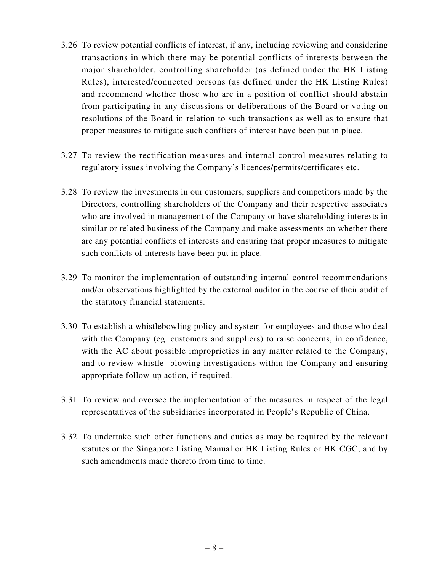- 3.26 To review potential conflicts of interest, if any, including reviewing and considering transactions in which there may be potential conflicts of interests between the major shareholder, controlling shareholder (as defined under the HK Listing Rules), interested/connected persons (as defined under the HK Listing Rules) and recommend whether those who are in a position of conflict should abstain from participating in any discussions or deliberations of the Board or voting on resolutions of the Board in relation to such transactions as well as to ensure that proper measures to mitigate such conflicts of interest have been put in place.
- 3.27 To review the rectification measures and internal control measures relating to regulatory issues involving the Company's licences/permits/certificates etc.
- 3.28 To review the investments in our customers, suppliers and competitors made by the Directors, controlling shareholders of the Company and their respective associates who are involved in management of the Company or have shareholding interests in similar or related business of the Company and make assessments on whether there are any potential conflicts of interests and ensuring that proper measures to mitigate such conflicts of interests have been put in place.
- 3.29 To monitor the implementation of outstanding internal control recommendations and/or observations highlighted by the external auditor in the course of their audit of the statutory financial statements.
- 3.30 To establish a whistlebowling policy and system for employees and those who deal with the Company (eg. customers and suppliers) to raise concerns, in confidence, with the AC about possible improprieties in any matter related to the Company, and to review whistle- blowing investigations within the Company and ensuring appropriate follow-up action, if required.
- 3.31 To review and oversee the implementation of the measures in respect of the legal representatives of the subsidiaries incorporated in People's Republic of China.
- 3.32 To undertake such other functions and duties as may be required by the relevant statutes or the Singapore Listing Manual or HK Listing Rules or HK CGC, and by such amendments made thereto from time to time.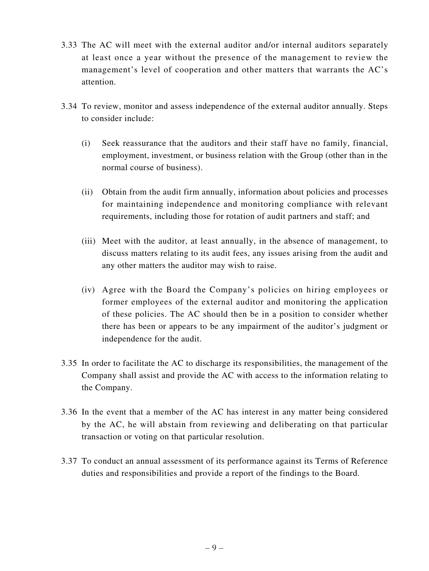- 3.33 The AC will meet with the external auditor and/or internal auditors separately at least once a year without the presence of the management to review the management's level of cooperation and other matters that warrants the AC's attention.
- 3.34 To review, monitor and assess independence of the external auditor annually. Steps to consider include:
	- (i) Seek reassurance that the auditors and their staff have no family, financial, employment, investment, or business relation with the Group (other than in the normal course of business).
	- (ii) Obtain from the audit firm annually, information about policies and processes for maintaining independence and monitoring compliance with relevant requirements, including those for rotation of audit partners and staff; and
	- (iii) Meet with the auditor, at least annually, in the absence of management, to discuss matters relating to its audit fees, any issues arising from the audit and any other matters the auditor may wish to raise.
	- (iv) Agree with the Board the Company's policies on hiring employees or former employees of the external auditor and monitoring the application of these policies. The AC should then be in a position to consider whether there has been or appears to be any impairment of the auditor's judgment or independence for the audit.
- 3.35 In order to facilitate the AC to discharge its responsibilities, the management of the Company shall assist and provide the AC with access to the information relating to the Company.
- 3.36 In the event that a member of the AC has interest in any matter being considered by the AC, he will abstain from reviewing and deliberating on that particular transaction or voting on that particular resolution.
- 3.37 To conduct an annual assessment of its performance against its Terms of Reference duties and responsibilities and provide a report of the findings to the Board.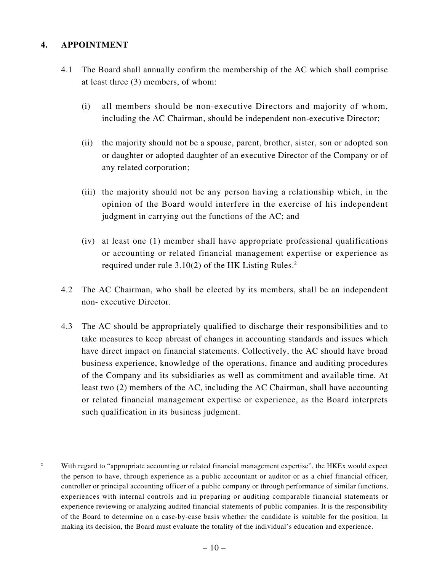### **4. APPOINTMENT**

- 4.1 The Board shall annually confirm the membership of the AC which shall comprise at least three (3) members, of whom:
	- (i) all members should be non-executive Directors and majority of whom, including the AC Chairman, should be independent non-executive Director;
	- (ii) the majority should not be a spouse, parent, brother, sister, son or adopted son or daughter or adopted daughter of an executive Director of the Company or of any related corporation;
	- (iii) the majority should not be any person having a relationship which, in the opinion of the Board would interfere in the exercise of his independent judgment in carrying out the functions of the AC; and
	- (iv) at least one (1) member shall have appropriate professional qualifications or accounting or related financial management expertise or experience as required under rule  $3.10(2)$  of the HK Listing Rules.<sup>2</sup>
- 4.2 The AC Chairman, who shall be elected by its members, shall be an independent non- executive Director.
- 4.3 The AC should be appropriately qualified to discharge their responsibilities and to take measures to keep abreast of changes in accounting standards and issues which have direct impact on financial statements. Collectively, the AC should have broad business experience, knowledge of the operations, finance and auditing procedures of the Company and its subsidiaries as well as commitment and available time. At least two (2) members of the AC, including the AC Chairman, shall have accounting or related financial management expertise or experience, as the Board interprets such qualification in its business judgment.
- <sup>2</sup> With regard to "appropriate accounting or related financial management expertise", the HKEx would expect the person to have, through experience as a public accountant or auditor or as a chief financial officer, controller or principal accounting officer of a public company or through performance of similar functions, experiences with internal controls and in preparing or auditing comparable financial statements or experience reviewing or analyzing audited financial statements of public companies. It is the responsibility of the Board to determine on a case-by-case basis whether the candidate is suitable for the position. In making its decision, the Board must evaluate the totality of the individual's education and experience.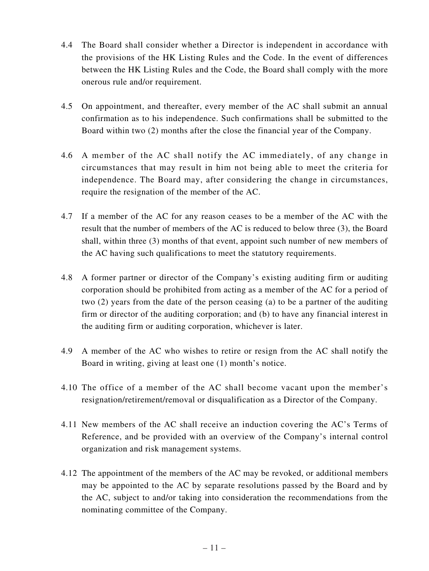- 4.4 The Board shall consider whether a Director is independent in accordance with the provisions of the HK Listing Rules and the Code. In the event of differences between the HK Listing Rules and the Code, the Board shall comply with the more onerous rule and/or requirement.
- 4.5 On appointment, and thereafter, every member of the AC shall submit an annual confirmation as to his independence. Such confirmations shall be submitted to the Board within two (2) months after the close the financial year of the Company.
- 4.6 A member of the AC shall notify the AC immediately, of any change in circumstances that may result in him not being able to meet the criteria for independence. The Board may, after considering the change in circumstances, require the resignation of the member of the AC.
- 4.7 If a member of the AC for any reason ceases to be a member of the AC with the result that the number of members of the AC is reduced to below three (3), the Board shall, within three (3) months of that event, appoint such number of new members of the AC having such qualifications to meet the statutory requirements.
- 4.8 A former partner or director of the Company's existing auditing firm or auditing corporation should be prohibited from acting as a member of the AC for a period of two (2) years from the date of the person ceasing (a) to be a partner of the auditing firm or director of the auditing corporation; and (b) to have any financial interest in the auditing firm or auditing corporation, whichever is later.
- 4.9 A member of the AC who wishes to retire or resign from the AC shall notify the Board in writing, giving at least one (1) month's notice.
- 4.10 The office of a member of the AC shall become vacant upon the member's resignation/retirement/removal or disqualification as a Director of the Company.
- 4.11 New members of the AC shall receive an induction covering the AC's Terms of Reference, and be provided with an overview of the Company's internal control organization and risk management systems.
- 4.12 The appointment of the members of the AC may be revoked, or additional members may be appointed to the AC by separate resolutions passed by the Board and by the AC, subject to and/or taking into consideration the recommendations from the nominating committee of the Company.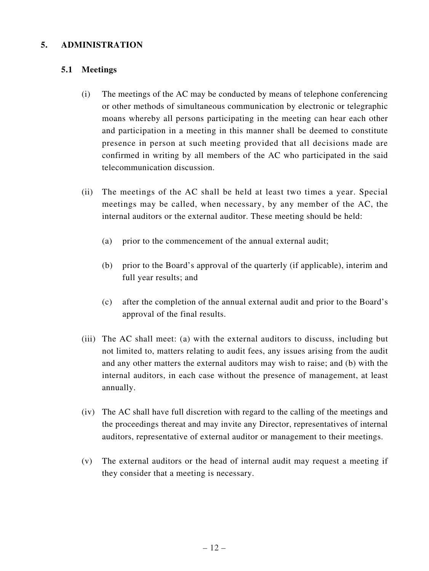### **5. ADMINISTRATION**

#### **5.1 Meetings**

- (i) The meetings of the AC may be conducted by means of telephone conferencing or other methods of simultaneous communication by electronic or telegraphic moans whereby all persons participating in the meeting can hear each other and participation in a meeting in this manner shall be deemed to constitute presence in person at such meeting provided that all decisions made are confirmed in writing by all members of the AC who participated in the said telecommunication discussion.
- (ii) The meetings of the AC shall be held at least two times a year. Special meetings may be called, when necessary, by any member of the AC, the internal auditors or the external auditor. These meeting should be held:
	- (a) prior to the commencement of the annual external audit;
	- (b) prior to the Board's approval of the quarterly (if applicable), interim and full year results; and
	- (c) after the completion of the annual external audit and prior to the Board's approval of the final results.
- (iii) The AC shall meet: (a) with the external auditors to discuss, including but not limited to, matters relating to audit fees, any issues arising from the audit and any other matters the external auditors may wish to raise; and (b) with the internal auditors, in each case without the presence of management, at least annually.
- (iv) The AC shall have full discretion with regard to the calling of the meetings and the proceedings thereat and may invite any Director, representatives of internal auditors, representative of external auditor or management to their meetings.
- (v) The external auditors or the head of internal audit may request a meeting if they consider that a meeting is necessary.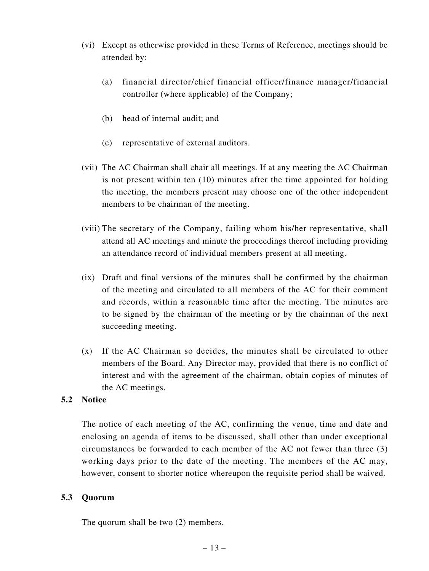- (vi) Except as otherwise provided in these Terms of Reference, meetings should be attended by:
	- (a) financial director/chief financial officer/finance manager/financial controller (where applicable) of the Company;
	- (b) head of internal audit; and
	- (c) representative of external auditors.
- (vii) The AC Chairman shall chair all meetings. If at any meeting the AC Chairman is not present within ten (10) minutes after the time appointed for holding the meeting, the members present may choose one of the other independent members to be chairman of the meeting.
- (viii) The secretary of the Company, failing whom his/her representative, shall attend all AC meetings and minute the proceedings thereof including providing an attendance record of individual members present at all meeting.
- (ix) Draft and final versions of the minutes shall be confirmed by the chairman of the meeting and circulated to all members of the AC for their comment and records, within a reasonable time after the meeting. The minutes are to be signed by the chairman of the meeting or by the chairman of the next succeeding meeting.
- (x) If the AC Chairman so decides, the minutes shall be circulated to other members of the Board. Any Director may, provided that there is no conflict of interest and with the agreement of the chairman, obtain copies of minutes of the AC meetings.

#### **5.2 Notice**

The notice of each meeting of the AC, confirming the venue, time and date and enclosing an agenda of items to be discussed, shall other than under exceptional circumstances be forwarded to each member of the AC not fewer than three (3) working days prior to the date of the meeting. The members of the AC may, however, consent to shorter notice whereupon the requisite period shall be waived.

#### **5.3 Quorum**

The quorum shall be two (2) members.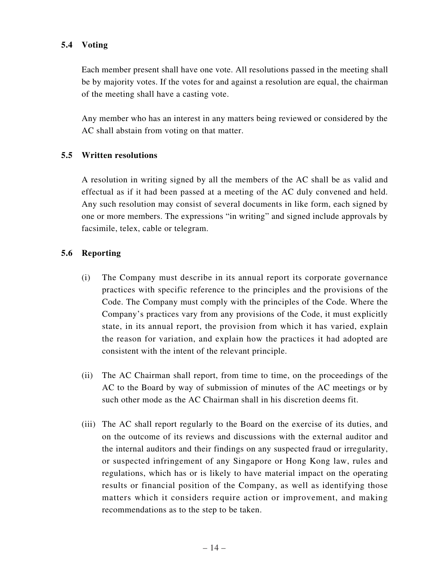### **5.4 Voting**

Each member present shall have one vote. All resolutions passed in the meeting shall be by majority votes. If the votes for and against a resolution are equal, the chairman of the meeting shall have a casting vote.

Any member who has an interest in any matters being reviewed or considered by the AC shall abstain from voting on that matter.

#### **5.5 Written resolutions**

A resolution in writing signed by all the members of the AC shall be as valid and effectual as if it had been passed at a meeting of the AC duly convened and held. Any such resolution may consist of several documents in like form, each signed by one or more members. The expressions "in writing" and signed include approvals by facsimile, telex, cable or telegram.

#### **5.6 Reporting**

- (i) The Company must describe in its annual report its corporate governance practices with specific reference to the principles and the provisions of the Code. The Company must comply with the principles of the Code. Where the Company's practices vary from any provisions of the Code, it must explicitly state, in its annual report, the provision from which it has varied, explain the reason for variation, and explain how the practices it had adopted are consistent with the intent of the relevant principle.
- (ii) The AC Chairman shall report, from time to time, on the proceedings of the AC to the Board by way of submission of minutes of the AC meetings or by such other mode as the AC Chairman shall in his discretion deems fit.
- (iii) The AC shall report regularly to the Board on the exercise of its duties, and on the outcome of its reviews and discussions with the external auditor and the internal auditors and their findings on any suspected fraud or irregularity, or suspected infringement of any Singapore or Hong Kong law, rules and regulations, which has or is likely to have material impact on the operating results or financial position of the Company, as well as identifying those matters which it considers require action or improvement, and making recommendations as to the step to be taken.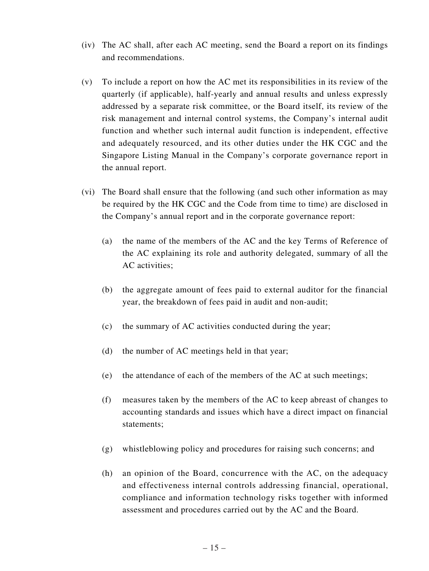- (iv) The AC shall, after each AC meeting, send the Board a report on its findings and recommendations.
- (v) To include a report on how the AC met its responsibilities in its review of the quarterly (if applicable), half-yearly and annual results and unless expressly addressed by a separate risk committee, or the Board itself, its review of the risk management and internal control systems, the Company's internal audit function and whether such internal audit function is independent, effective and adequately resourced, and its other duties under the HK CGC and the Singapore Listing Manual in the Company's corporate governance report in the annual report.
- (vi) The Board shall ensure that the following (and such other information as may be required by the HK CGC and the Code from time to time) are disclosed in the Company's annual report and in the corporate governance report:
	- (a) the name of the members of the AC and the key Terms of Reference of the AC explaining its role and authority delegated, summary of all the AC activities;
	- (b) the aggregate amount of fees paid to external auditor for the financial year, the breakdown of fees paid in audit and non-audit;
	- (c) the summary of AC activities conducted during the year;
	- (d) the number of AC meetings held in that year;
	- (e) the attendance of each of the members of the AC at such meetings;
	- (f) measures taken by the members of the AC to keep abreast of changes to accounting standards and issues which have a direct impact on financial statements;
	- (g) whistleblowing policy and procedures for raising such concerns; and
	- (h) an opinion of the Board, concurrence with the AC, on the adequacy and effectiveness internal controls addressing financial, operational, compliance and information technology risks together with informed assessment and procedures carried out by the AC and the Board.